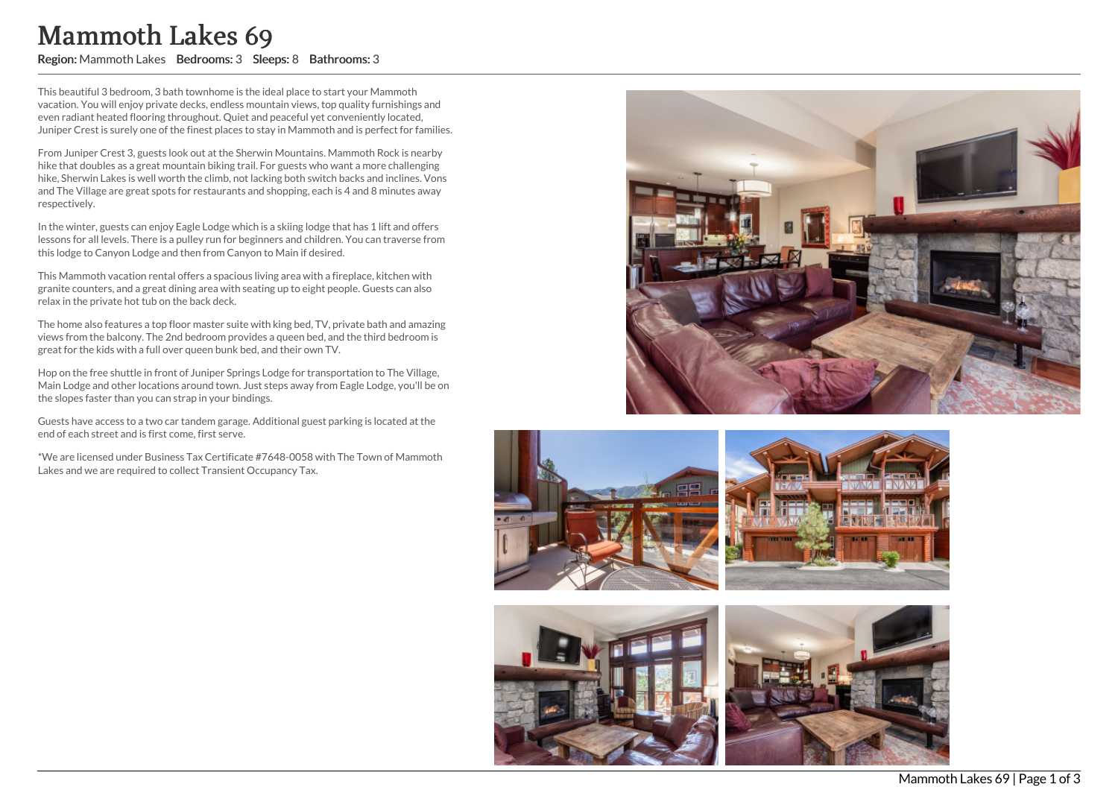## Mammoth Lakes 69

## Region: Mammoth Lakes Bedrooms: 3 Sleeps: 8 Bathrooms: 3

This beautiful 3 bedroom, 3 bath townhome is the ideal place to start your Mammoth vacation. You will enjoy private decks, endless mountain views, top quality furnishings and even radiant heated flooring throughout. Quiet and peaceful yet conveniently located, Juniper Crest is surely one of the finest places to stay in Mammoth and is perfect for families.

From Juniper Crest 3, guests look out at the Sherwin Mountains. Mammoth Rock is nearby hike that doubles as a great mountain biking trail. For guests who want a more challenging hike, Sherwin Lakes is well worth the climb, not lacking both switch backs and inclines. Vons and The Village are great spots for restaurants and shopping, each is 4 and 8 minutes away respectively.

In the winter, guests can enjoy Eagle Lodge which is a skiing lodge that has 1 lift and offers lessons for all levels. There is a pulley run for beginners and children. You can traverse from this lodge to Canyon Lodge and then from Canyon to Main if desired.

This Mammoth vacation rental offers a spacious living area with a fireplace, kitchen with granite counters, and a great dining area with seating up to eight people. Guests can also relax in the private hot tub on the back deck.

The home also features a top floor master suite with king bed, TV, private bath and amazing views from the balcony. The 2nd bedroom provides a queen bed, and the third bedroom is great for the kids with a full over queen bunk bed, and their own TV.

Hop on the free shuttle in front of Juniper Springs Lodge for transportation to The Village, Main Lodge and other locations around town. Just steps away from Eagle Lodge, you'll be on the slopes faster than you can strap in your bindings.

Guests have access to a two car tandem garage. Additional guest parking is located at the end of each street and is first come, first serve.

\*We are licensed under Business Tax Certificate #7648-0058 with The Town of Mammoth Lakes and we are required to collect Transient Occupancy Tax.







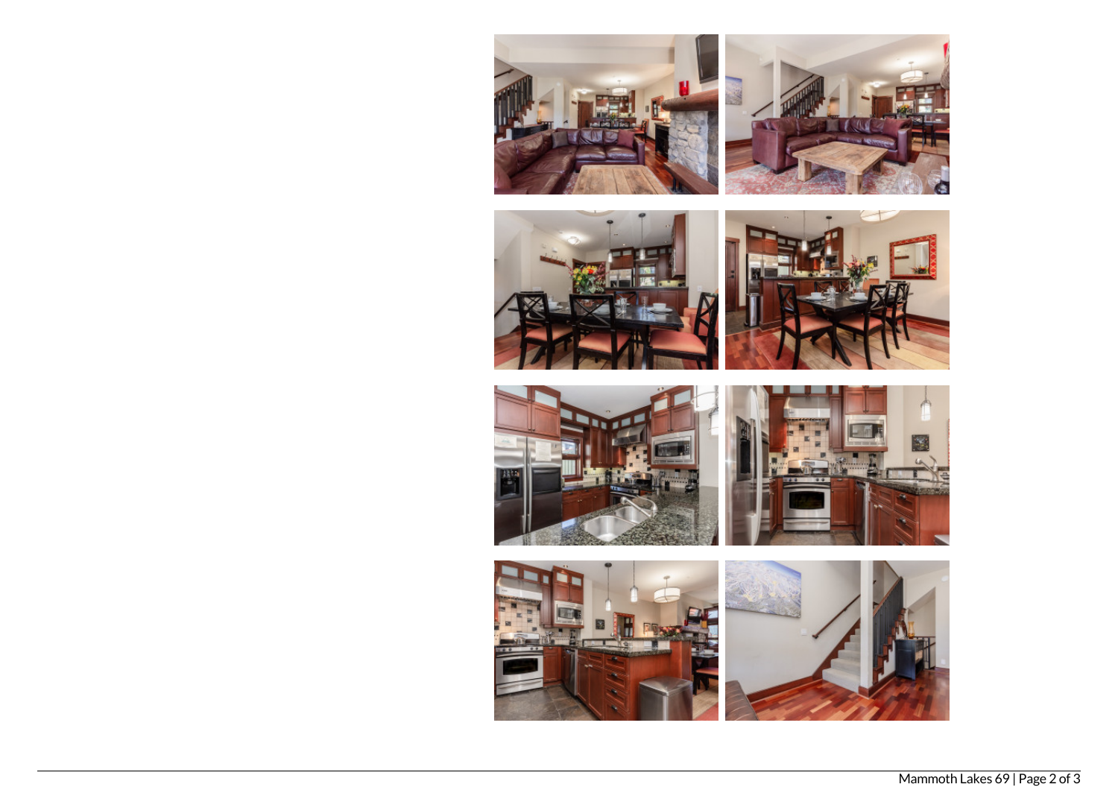